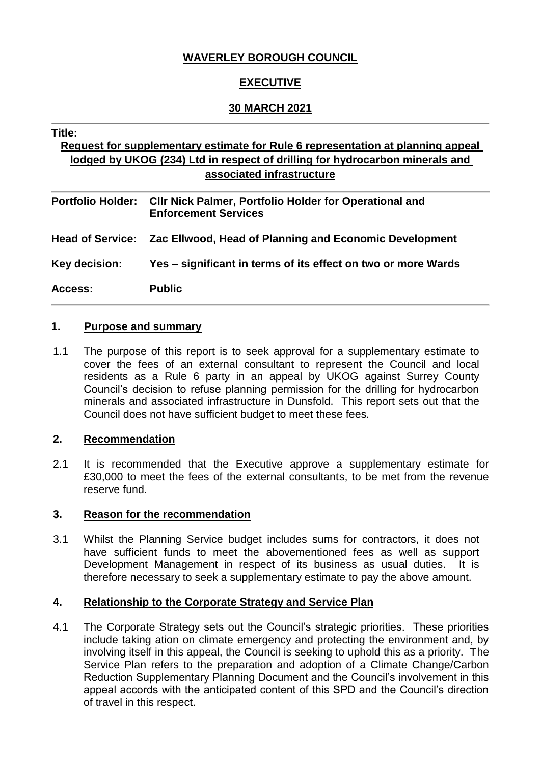## **WAVERLEY BOROUGH COUNCIL**

## **EXECUTIVE**

## **30 MARCH 2021**

#### **Title:**

# **Request for supplementary estimate for Rule 6 representation at planning appeal lodged by UKOG (234) Ltd in respect of drilling for hydrocarbon minerals and associated infrastructure**

| <b>Portfolio Holder:</b> | <b>CIIr Nick Palmer, Portfolio Holder for Operational and</b><br><b>Enforcement Services</b> |
|--------------------------|----------------------------------------------------------------------------------------------|
|                          | Head of Service: Zac Ellwood, Head of Planning and Economic Development                      |
| Key decision:            | Yes – significant in terms of its effect on two or more Wards                                |
| <b>Access:</b>           | <b>Public</b>                                                                                |

#### **1. Purpose and summary**

1.1 The purpose of this report is to seek approval for a supplementary estimate to cover the fees of an external consultant to represent the Council and local residents as a Rule 6 party in an appeal by UKOG against Surrey County Council's decision to refuse planning permission for the drilling for hydrocarbon minerals and associated infrastructure in Dunsfold. This report sets out that the Council does not have sufficient budget to meet these fees.

#### **2. Recommendation**

2.1 It is recommended that the Executive approve a supplementary estimate for £30,000 to meet the fees of the external consultants, to be met from the revenue reserve fund.

#### **3. Reason for the recommendation**

3.1 Whilst the Planning Service budget includes sums for contractors, it does not have sufficient funds to meet the abovementioned fees as well as support Development Management in respect of its business as usual duties. It is therefore necessary to seek a supplementary estimate to pay the above amount.

#### **4. Relationship to the Corporate Strategy and Service Plan**

4.1 The Corporate Strategy sets out the Council's strategic priorities. These priorities include taking ation on climate emergency and protecting the environment and, by involving itself in this appeal, the Council is seeking to uphold this as a priority. The Service Plan refers to the preparation and adoption of a Climate Change/Carbon Reduction Supplementary Planning Document and the Council's involvement in this appeal accords with the anticipated content of this SPD and the Council's direction of travel in this respect.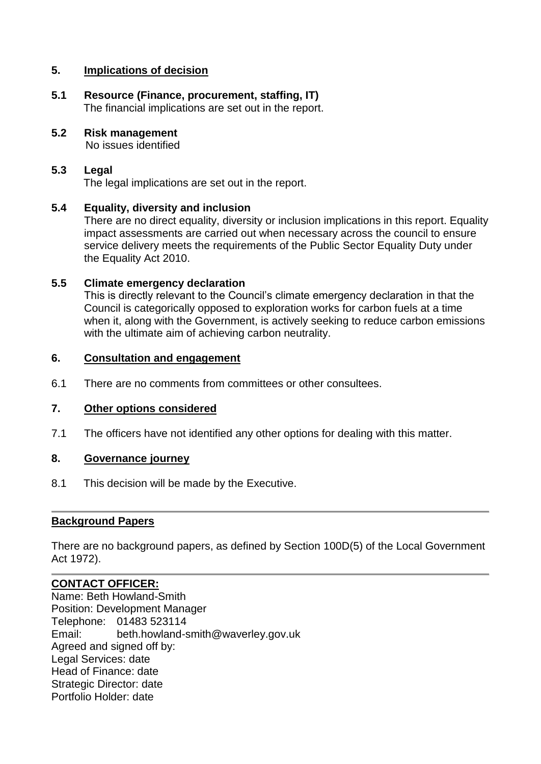## **5. Implications of decision**

- **5.1 Resource (Finance, procurement, staffing, IT)** The financial implications are set out in the report.
- **5.2 Risk management** No issues identified

# **5.3 Legal**

The legal implications are set out in the report.

## **5.4 Equality, diversity and inclusion**

There are no direct equality, diversity or inclusion implications in this report. Equality impact assessments are carried out when necessary across the council to ensure service delivery meets the requirements of the Public Sector Equality Duty under the Equality Act 2010.

## **5.5 Climate emergency declaration**

This is directly relevant to the Council's climate emergency declaration in that the Council is categorically opposed to exploration works for carbon fuels at a time when it, along with the Government, is actively seeking to reduce carbon emissions with the ultimate aim of achieving carbon neutrality.

## **6. Consultation and engagement**

6.1 There are no comments from committees or other consultees.

## **7. Other options considered**

7.1 The officers have not identified any other options for dealing with this matter.

## **8. Governance journey**

8.1 This decision will be made by the Executive.

#### **Background Papers**

There are no background papers, as defined by Section 100D(5) of the Local Government Act 1972).

## **CONTACT OFFICER:**

Name: Beth Howland-Smith Position: Development Manager Telephone: 01483 523114 Email: beth.howland-smith@waverley.gov.uk Agreed and signed off by: Legal Services: date Head of Finance: date Strategic Director: date Portfolio Holder: date